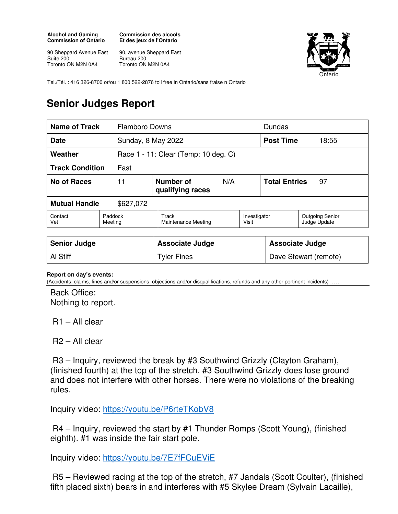## **Alcohol and Gaming Commission of Ontario**

**Commission des alcools Et des jeux de l'Ontario** 

90 Sheppard Avenue East Suite 200 Toronto ON M2N 0A4

90, avenue Sheppard East Bureau 200 Toronto ON M2N 0A4



Tel./Tél. : 416 326-8700 or/ou 1 800 522-2876 toll free in Ontario/sans fraise n Ontario

## **Senior Judges Report**

| <b>Name of Track</b>              |                    | <b>Flamboro Downs</b>                |                       |                            | Dundas                          |  |
|-----------------------------------|--------------------|--------------------------------------|-----------------------|----------------------------|---------------------------------|--|
| <b>Date</b>                       |                    | Sunday, 8 May 2022                   |                       |                            | 18:55                           |  |
| Weather                           |                    | Race 1 - 11: Clear (Temp: 10 deg. C) |                       |                            |                                 |  |
| <b>Track Condition</b>            | Fast               |                                      |                       |                            |                                 |  |
| No of Races                       | 11                 | Number of<br>N/A<br>qualifying races |                       | <b>Total Entries</b><br>97 |                                 |  |
| <b>Mutual Handle</b><br>\$627,072 |                    |                                      |                       |                            |                                 |  |
| Contact<br>Vet                    | Paddock<br>Meeting | Track<br><b>Maintenance Meeting</b>  | Investigator<br>Visit |                            | Outgoing Senior<br>Judge Update |  |

| <b>Senior Judge</b> | <b>Associate Judge</b> | <b>Associate Judge</b> |
|---------------------|------------------------|------------------------|
| Al Stiff            | <b>Tyler Fines</b>     | Dave Stewart (remote)  |

## **Report on day's events:**

(Accidents, claims, fines and/or suspensions, objections and/or disqualifications, refunds and any other pertinent incidents) ….

Back Office: Nothing to report.

R1 – All clear

R2 – All clear

 R3 – Inquiry, reviewed the break by #3 Southwind Grizzly (Clayton Graham), (finished fourth) at the top of the stretch. #3 Southwind Grizzly does lose ground and does not interfere with other horses. There were no violations of the breaking rules.

Inquiry video: https://youtu.be/P6rteTKobV8

 R4 – Inquiry, reviewed the start by #1 Thunder Romps (Scott Young), (finished eighth). #1 was inside the fair start pole.

Inquiry video: https://youtu.be/7E7fFCuEViE

 R5 – Reviewed racing at the top of the stretch, #7 Jandals (Scott Coulter), (finished fifth placed sixth) bears in and interferes with #5 Skylee Dream (Sylvain Lacaille),